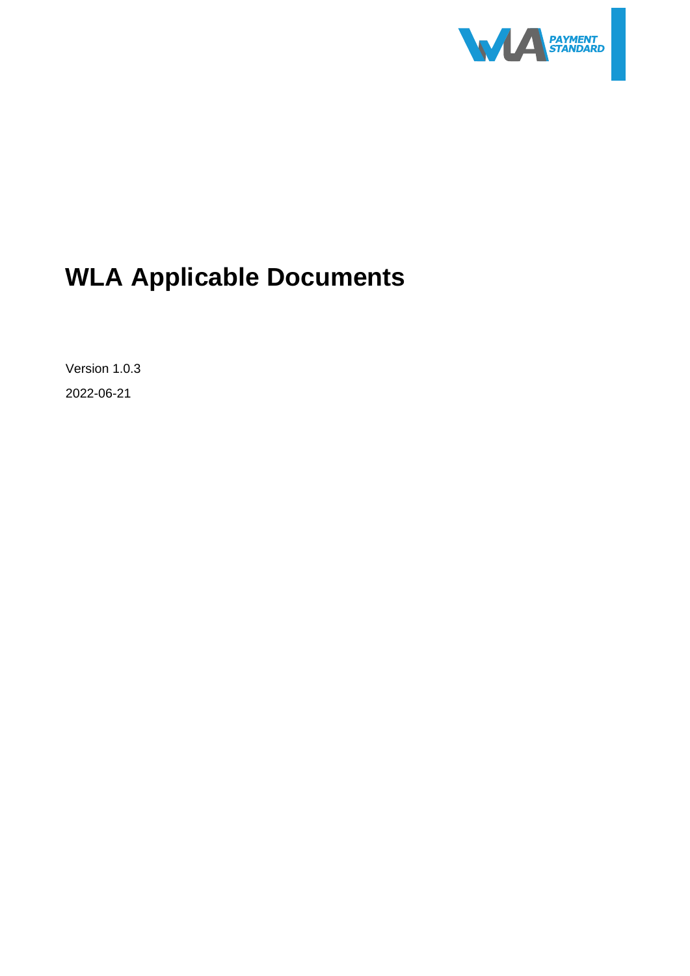

# <span id="page-0-0"></span>**WLA Applicable Documents**

<span id="page-0-2"></span><span id="page-0-1"></span>Version 1.0.3 2022-06-21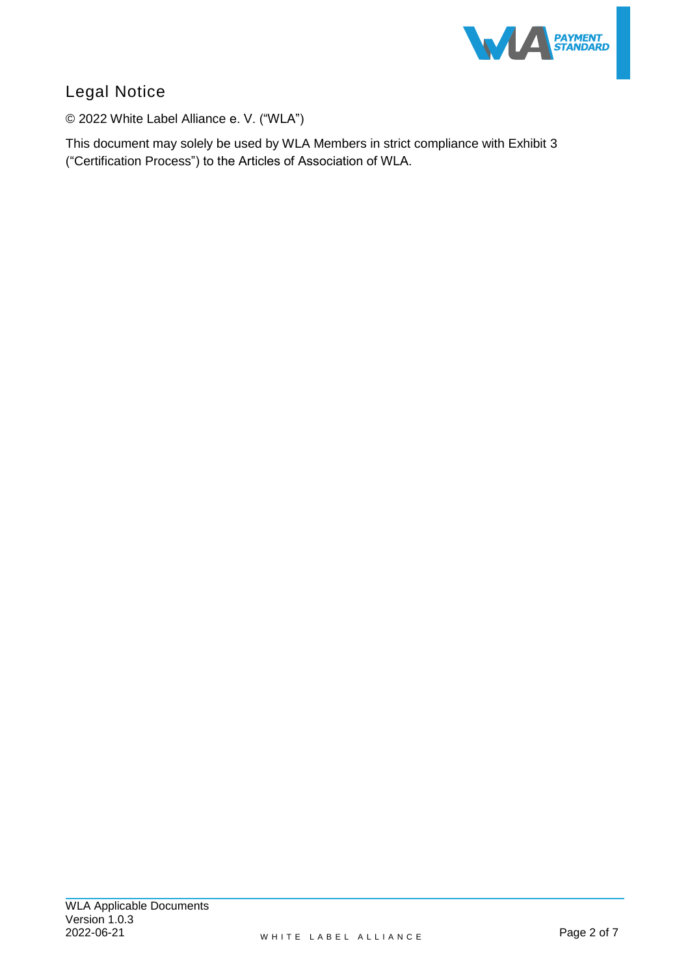

# Legal Notice

© 2022 White Label Alliance e. V. ("WLA")

This document may solely be used by WLA Members in strict compliance with Exhibit 3 ("Certification Process") to the Articles of Association of WLA.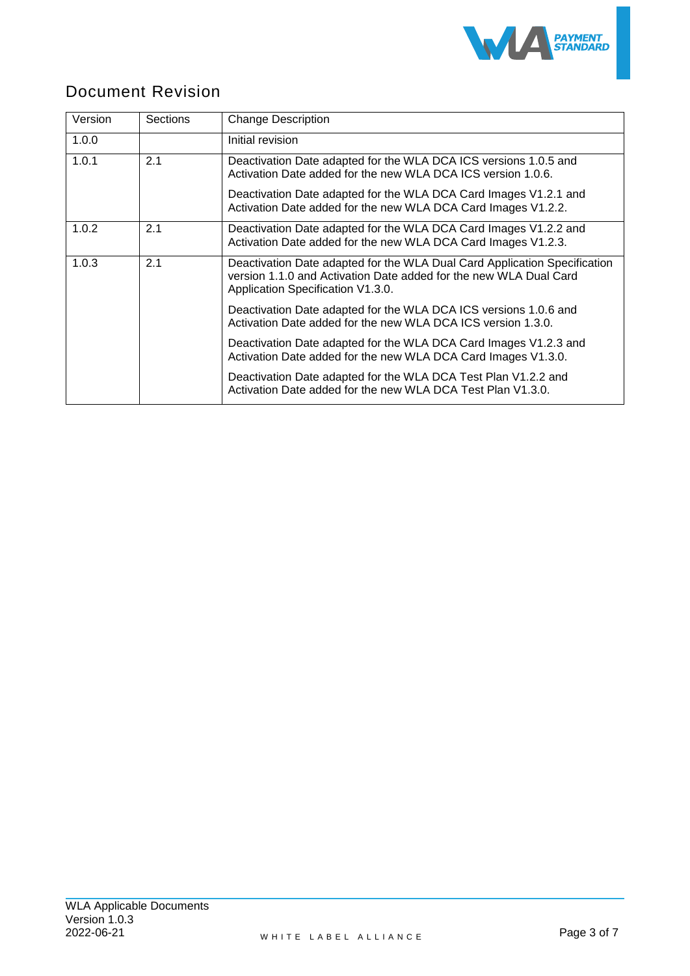

## Document Revision

| Version | <b>Sections</b> | <b>Change Description</b>                                                                                                                                                           |  |
|---------|-----------------|-------------------------------------------------------------------------------------------------------------------------------------------------------------------------------------|--|
| 1.0.0   |                 | Initial revision                                                                                                                                                                    |  |
| 1.0.1   | 2.1             | Deactivation Date adapted for the WLA DCA ICS versions 1.0.5 and<br>Activation Date added for the new WLA DCA ICS version 1.0.6.                                                    |  |
|         |                 | Deactivation Date adapted for the WLA DCA Card Images V1.2.1 and<br>Activation Date added for the new WLA DCA Card Images V1.2.2.                                                   |  |
| 1.0.2   | 2.1             | Deactivation Date adapted for the WLA DCA Card Images V1.2.2 and<br>Activation Date added for the new WLA DCA Card Images V1.2.3.                                                   |  |
| 1.0.3   | 2.1             | Deactivation Date adapted for the WLA Dual Card Application Specification<br>version 1.1.0 and Activation Date added for the new WLA Dual Card<br>Application Specification V1.3.0. |  |
|         |                 | Deactivation Date adapted for the WLA DCA ICS versions 1.0.6 and<br>Activation Date added for the new WLA DCA ICS version 1.3.0.                                                    |  |
|         |                 | Deactivation Date adapted for the WLA DCA Card Images V1.2.3 and<br>Activation Date added for the new WLA DCA Card Images V1.3.0.                                                   |  |
|         |                 | Deactivation Date adapted for the WLA DCA Test Plan V1.2.2 and<br>Activation Date added for the new WLA DCA Test Plan V1.3.0.                                                       |  |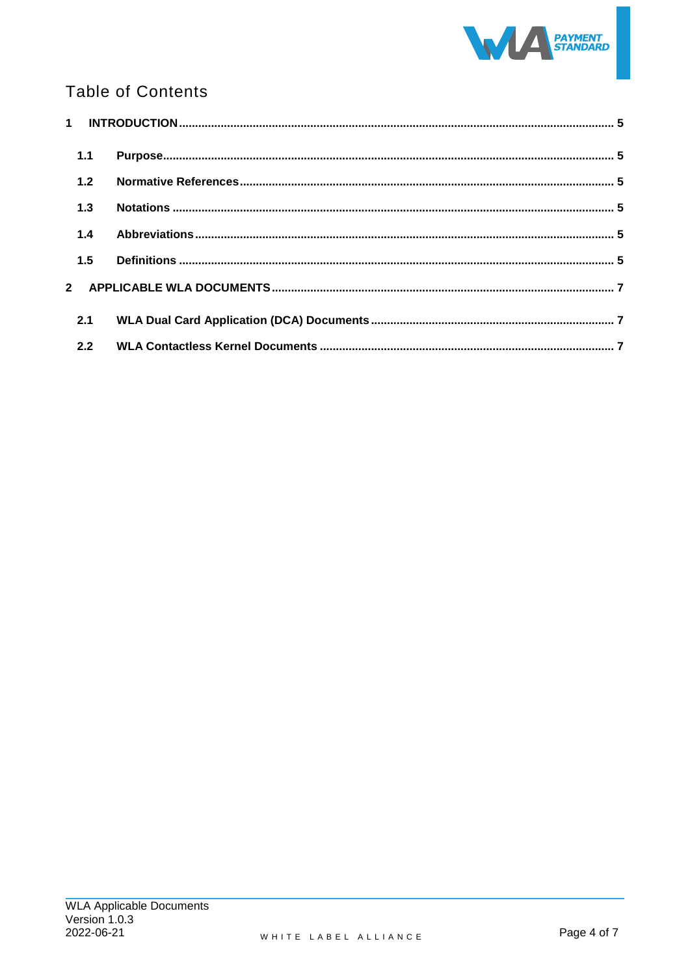

# **Table of Contents**

| 1.1 |  |
|-----|--|
| 1.2 |  |
| 1.3 |  |
| 1.4 |  |
| 1.5 |  |
|     |  |
| 2.1 |  |
| 2.2 |  |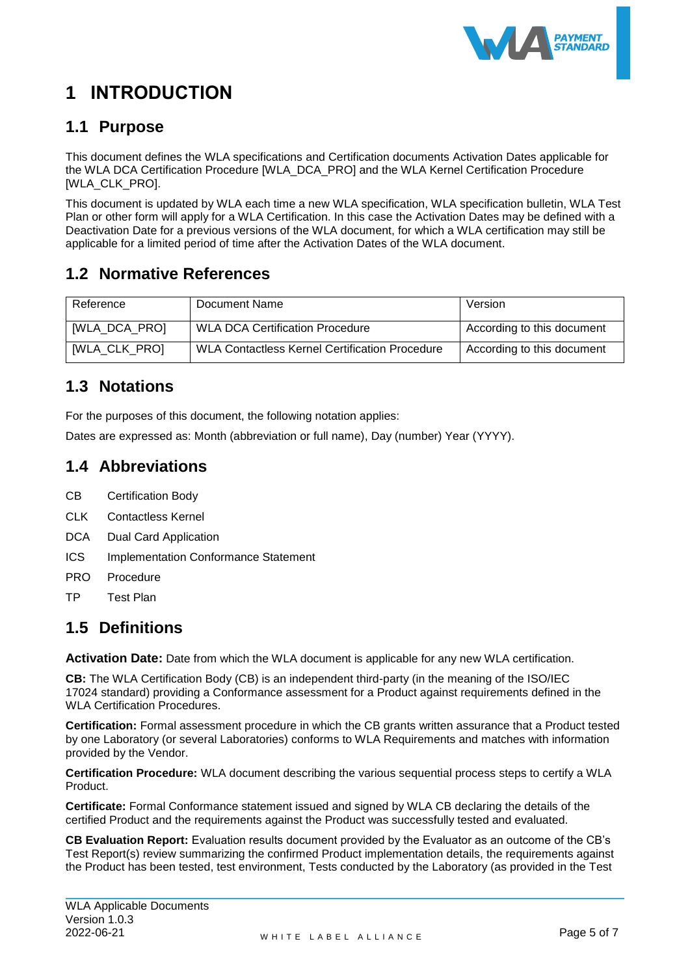

# <span id="page-4-0"></span>**1 INTRODUCTION**

#### <span id="page-4-1"></span>**1.1 Purpose**

This document defines the WLA specifications and Certification documents Activation Dates applicable for the WLA DCA Certification Procedure [\[WLA\\_DCA\\_PRO\]](#page-4-6) and the WLA Kernel Certification Procedure [\[WLA\\_CLK\\_PRO\].](#page-4-7)

This document is updated by WLA each time a new WLA specification, WLA specification bulletin, WLA Test Plan or other form will apply for a WLA Certification. In this case the Activation Dates may be defined with a Deactivation Date for a previous versions of the WLA document, for which a WLA certification may still be applicable for a limited period of time after the Activation Dates of the WLA document.

## <span id="page-4-2"></span>**1.2 Normative References**

<span id="page-4-6"></span>

| Reference     | Document Name                                         | Version                    |
|---------------|-------------------------------------------------------|----------------------------|
| [WLA_DCA_PRO] | <b>WLA DCA Certification Procedure</b>                | According to this document |
| [WLA_CLK_PRO] | <b>WLA Contactless Kernel Certification Procedure</b> | According to this document |

#### <span id="page-4-7"></span><span id="page-4-3"></span>**1.3 Notations**

For the purposes of this document, the following notation applies:

Dates are expressed as: Month (abbreviation or full name), Day (number) Year (YYYY).

#### <span id="page-4-4"></span>**1.4 Abbreviations**

- CB Certification Body
- CLK Contactless Kernel
- DCA Dual Card Application
- ICS Implementation Conformance Statement
- PRO Procedure
- TP Test Plan

#### <span id="page-4-5"></span>**1.5 Definitions**

**Activation Date:** Date from which the WLA document is applicable for any new WLA certification.

**CB:** The WLA Certification Body (CB) is an independent third-party (in the meaning of the [ISO/IEC](https://en.wikipedia.org/wiki/ISO/IEC_17024)  [17024](https://en.wikipedia.org/wiki/ISO/IEC_17024) standard) providing a Conformance assessment for a Product against requirements defined in the WLA Certification Procedures.

**Certification:** Formal assessment procedure in which the CB grants written assurance that a Product tested by one Laboratory (or several Laboratories) conforms to WLA Requirements and matches with information provided by the Vendor.

**Certification Procedure:** WLA document describing the various sequential process steps to certify a WLA Product.

**Certificate:** Formal Conformance statement issued and signed by WLA CB declaring the details of the certified Product and the requirements against the Product was successfully tested and evaluated.

**CB Evaluation Report:** Evaluation results document provided by the Evaluator as an outcome of the CB's Test Report(s) review summarizing the confirmed Product implementation details, the requirements against the Product has been tested, test environment, Tests conducted by the Laboratory (as provided in the Test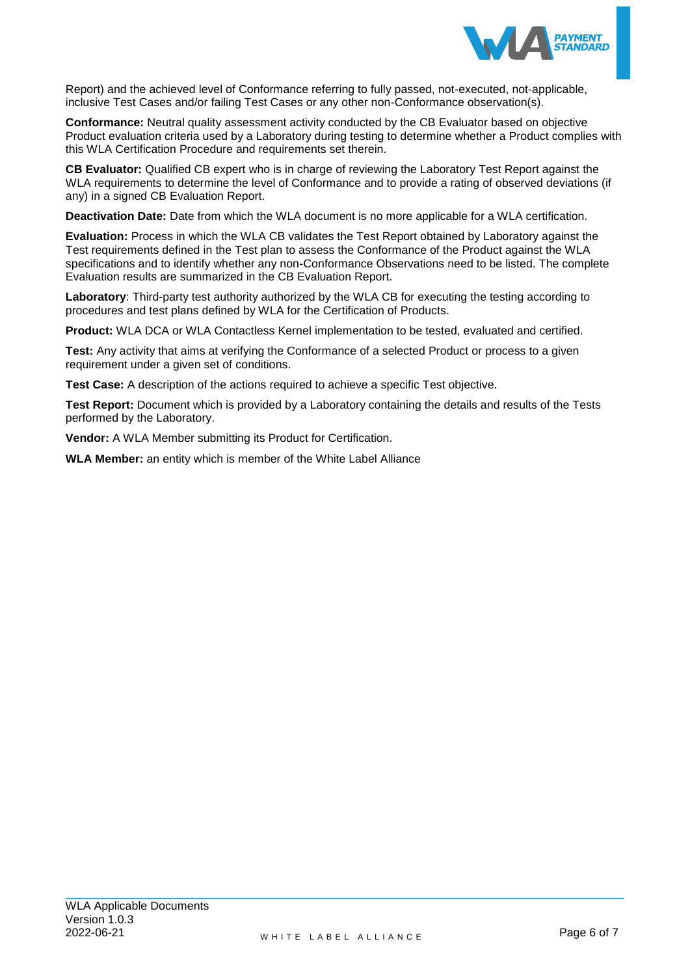

Report) and the achieved level of Conformance referring to fully passed, not-executed, not-applicable, inclusive Test Cases and/or failing Test Cases or any other non-Conformance observation(s).

**Conformance:** Neutral quality assessment activity conducted by the CB Evaluator based on objective Product evaluation criteria used by a Laboratory during testing to determine whether a Product complies with this WLA Certification Procedure and requirements set therein.

**CB Evaluator:** Qualified CB expert who is in charge of reviewing the Laboratory Test Report against the WLA requirements to determine the level of Conformance and to provide a rating of observed deviations (if any) in a signed CB Evaluation Report.

**Deactivation Date:** Date from which the WLA document is no more applicable for a WLA certification.

**Evaluation:** Process in which the WLA CB validates the Test Report obtained by Laboratory against the Test requirements defined in the Test plan to assess the Conformance of the Product against the WLA specifications and to identify whether any non-Conformance Observations need to be listed. The complete Evaluation results are summarized in the CB Evaluation Report.

**Laboratory**: Third-party test authority authorized by the WLA CB for executing the testing according to procedures and test plans defined by WLA for the Certification of Products.

**Product:** WLA DCA or WLA Contactless Kernel implementation to be tested, evaluated and certified.

**Test:** Any activity that aims at verifying the Conformance of a selected Product or process to a given requirement under a given set of conditions.

**Test Case:** A description of the actions required to achieve a specific Test objective.

**Test Report:** Document which is provided by a Laboratory containing the details and results of the Tests performed by the Laboratory.

**Vendor:** A WLA Member submitting its Product for Certification.

**WLA Member:** an entity which is member of the White Label Alliance